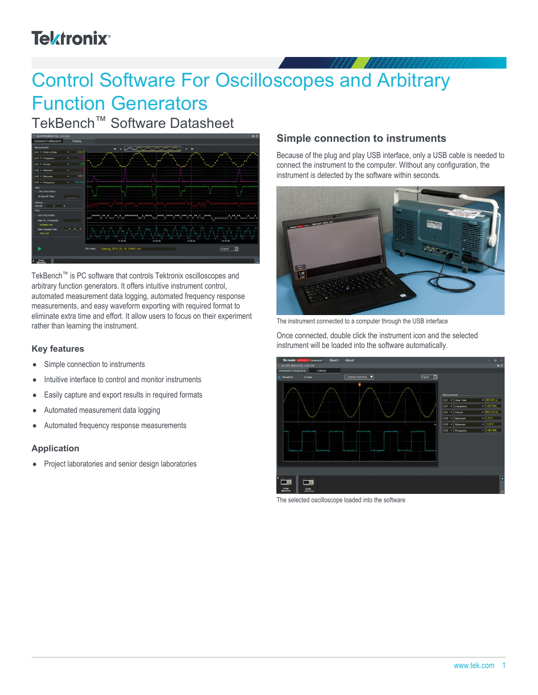## **Tektronix**<sup>®</sup>

# Control Software For Oscilloscopes and Arbitrary Function Generators

TekBench™ Software Datasheet



TekBench™ is PC software that controls Tektronix oscilloscopes and arbitrary function generators. It offers intuitive instrument control, automated measurement data logging, automated frequency response measurements, and easy waveform exporting with required format to eliminate extra time and effort. It allow users to focus on their experiment rather than learning the instrument.

#### **Key features**

- Simple connection to instruments  $\bullet$
- Intuitive interface to control and monitor instruments
- Easily capture and export results in required formats  $\bullet$
- Automated measurement data logging
- Automated frequency response measurements  $\bullet$

#### **Application**

Project laboratories and senior design laboratories  $\bullet$ 

#### **Simple connection to instruments**

Because of the plug and play USB interface, only a USB cable is needed to connect the instrument to the computer. Without any configuration, the instrument is detected by the software within seconds.



The instrument connected to a computer through the USB interface

Once connected, double click the instrument icon and the selected instrument will be loaded into the software automatically.



The selected oscilloscope loaded into the software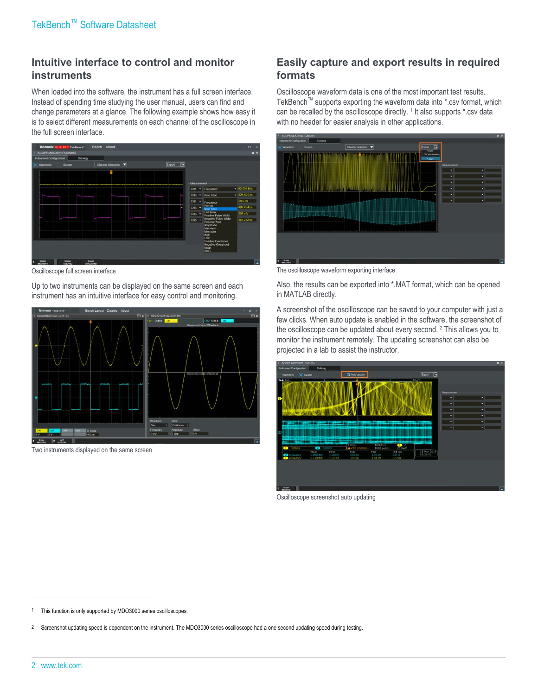#### **Intuitive interface to control and monitor instruments**

When loaded into the software, the instrument has a full screen interface. Instead of spending time studying the user manual, users can find and change parameters at a glance. The following example shows how easy it is to select different measurements on each channel of the oscilloscope in the full screen interface.



Oscilloscope full screen interface

Up to two instruments can be displayed on the same screen and each instrument has an intuitive interface for easy control and monitoring.



Two instruments displayed on the same screen

#### **Easily capture and export results in required formats**

Oscilloscope waveform data is one of the most important test results. TekBench™ supports exporting the waveform data into \*.csv format, which can be recalled by the oscilloscope directly. <sup>1</sup> It also supports \*.csv data with no header for easier analysis in other applications.



The oscilloscope waveform exporting interface

Also, the results can be exported into \*.MAT format, which can be opened in MATLAB directly.

A screenshot of the oscilloscope can be saved to your computer with just a few clicks. When auto update is enabled in the software, the screenshot of the oscilloscope can be updated about every second. <sup>2</sup> This allows you to monitor the instrument remotely. The updating screenshot can also be projected in a lab to assist the instructor.

| SCOPE MDO3102_C201254                                                                           |                                                                |                                                       |                            | $x \theta$ |
|-------------------------------------------------------------------------------------------------|----------------------------------------------------------------|-------------------------------------------------------|----------------------------|------------|
| <b>Instrument Configuration</b><br>Dataiog                                                      |                                                                |                                                       |                            |            |
| " Screen<br>Waveform                                                                            | <b>GT</b> Auto Update                                          | 同<br>Export                                           |                            |            |
| Tek Run<br><b>MAGAZINE CAPTURE AND</b><br>s sentido de fundido de Paris, o alta partido del por | <b>In the country and a control with</b>                       | Trig'd<br><b><i>UNITED STATES</i></b>                 | Measurement<br>۰<br>н<br>۰ |            |
|                                                                                                 |                                                                |                                                       |                            |            |
| $-500mV$<br>$\bullet$<br>500 <sub>W</sub><br>$\bullet$                                          | <b>100MSZs</b><br><b>Children</b><br>0.10000001<br>1000 points | $\bullet$<br>20.0mV                                   |                            |            |
| Value<br>Moan<br>1.000MHz<br>1.000M<br>Frequency<br>1.739MHz<br>Frequency<br>1.373M             | Max<br>Min<br>999.5k<br>1.001M<br>187.9k<br>1.943M             | 13 May 2018<br>Std Dev<br>01:29:51<br>237.0<br>572.0k |                            |            |
|                                                                                                 |                                                                |                                                       |                            |            |
| Scope<br>п<br><b>MIXX3902</b>                                                                   |                                                                |                                                       |                            |            |

Oscilloscope screenshot auto updating

This function is only supported by MDO3000 series oscilloscopes.

<sup>2</sup> Screenshot updating speed is dependent on the instrument. The MDO3000 series oscilloscope had a one second updating speed during testing.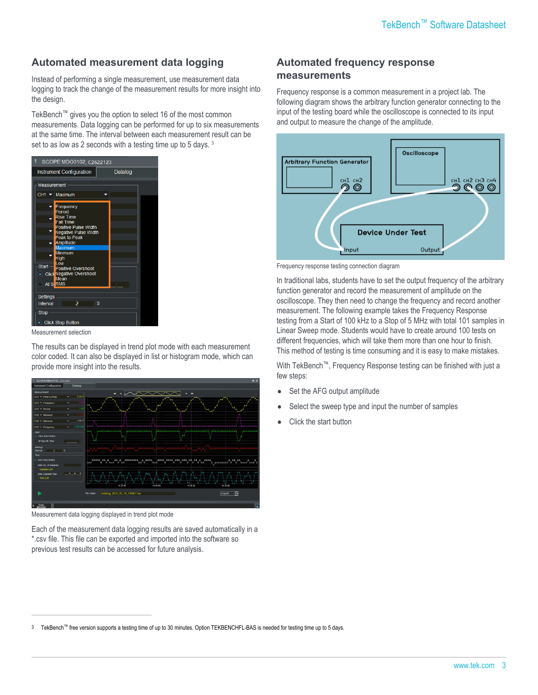#### **Automated measurement data logging**

Instead of performing a single measurement, use measurement data logging to track the change of the measurement results for more insight into the design.

TekBench™ gives you the option to select 16 of the most common measurements. Data logging can be performed for up to six measurements at the same time. The interval between each measurement result can be set to as low as 2 seconds with a testing time up to 5 days.<sup>3</sup>



Measurement selection

The results can be displayed in trend plot mode with each measurement color coded. It can also be displayed in list or histogram mode, which can provide more insight into the results.



Measurement data logging displayed in trend plot mode

Each of the measurement data logging results are saved automatically in a \*.csv file. This file can be exported and imported into the software so previous test results can be accessed for future analysis.

#### **Automated frequency response measurements**

Frequency response is a common measurement in a project lab. The following diagram shows the arbitrary function generator connecting to the input of the testing board while the oscilloscope is connected to its input and output to measure the change of the amplitude.



Frequency response testing connection diagram

In traditional labs, students have to set the output frequency of the arbitrary function generator and record the measurement of amplitude on the oscilloscope. They then need to change the frequency and record another measurement. The following example takes the Frequency Response testing from a Start of 100 kHz to a Stop of 5 MHz with total 101 samples in Linear Sweep mode. Students would have to create around 100 tests on different frequencies, which will take them more than one hour to finish. This method of testing is time consuming and it is easy to make mistakes.

With TekBench™, Frequency Response testing can be finished with just a few steps:

- Set the AFG output amplitude
- Select the sweep type and input the number of samples
- Click the start button

<sup>3</sup> TekBench™ free version supports a testing time of up to 30 minutes. Option TEKBENCHFL-BAS is needed for testing time up to 5 days.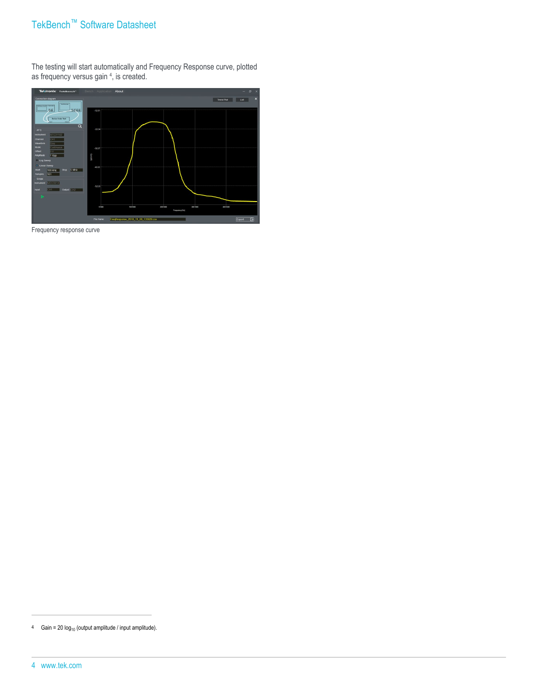### TekBench™ Software Datasheet

The testing will start automatically and Frequency Response curve, plotted as frequency versus gain <sup>4</sup>, is created.



Frequency response curve

<sup>4</sup> Gain = 20  $log_{10}$  (output amplitude / input amplitude).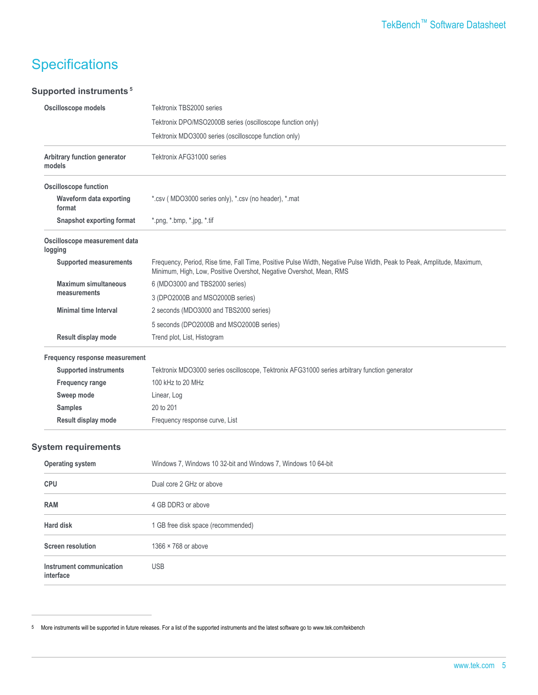## **Specifications**

#### **Supported instruments<sup>5</sup>**

| Oscilloscope models                         | Tektronix TBS2000 series                                                                                                                                                                      |
|---------------------------------------------|-----------------------------------------------------------------------------------------------------------------------------------------------------------------------------------------------|
|                                             | Tektronix DPO/MSO2000B series (oscilloscope function only)                                                                                                                                    |
|                                             | Tektronix MDO3000 series (oscilloscope function only)                                                                                                                                         |
| Arbitrary function generator<br>models      | Tektronix AFG31000 series                                                                                                                                                                     |
| <b>Oscilloscope function</b>                |                                                                                                                                                                                               |
| Waveform data exporting<br>format           | *.csv (MDO3000 series only), *.csv (no header), *.mat                                                                                                                                         |
| <b>Snapshot exporting format</b>            | *.png, *.bmp, *.jpg, *.tif                                                                                                                                                                    |
| Oscilloscope measurement data<br>logging    |                                                                                                                                                                                               |
| <b>Supported measurements</b>               | Frequency, Period, Rise time, Fall Time, Positive Pulse Width, Negative Pulse Width, Peak to Peak, Amplitude, Maximum,<br>Minimum, High, Low, Positive Overshot, Negative Overshot, Mean, RMS |
| <b>Maximum simultaneous</b><br>measurements | 6 (MDO3000 and TBS2000 series)                                                                                                                                                                |
|                                             | 3 (DPO2000B and MSO2000B series)                                                                                                                                                              |
| <b>Minimal time Interval</b>                | 2 seconds (MDO3000 and TBS2000 series)                                                                                                                                                        |
|                                             | 5 seconds (DPO2000B and MSO2000B series)                                                                                                                                                      |
| Result display mode                         | Trend plot, List, Histogram                                                                                                                                                                   |
| Frequency response measurement              |                                                                                                                                                                                               |
| <b>Supported instruments</b>                | Tektronix MDO3000 series oscilloscope, Tektronix AFG31000 series arbitrary function generator                                                                                                 |
| <b>Frequency range</b>                      | 100 kHz to 20 MHz                                                                                                                                                                             |
| Sweep mode                                  | Linear, Log                                                                                                                                                                                   |
| <b>Samples</b>                              | 20 to 201                                                                                                                                                                                     |
| Result display mode                         | Frequency response curve, List                                                                                                                                                                |
| <b>System requirements</b>                  |                                                                                                                                                                                               |
| <b>Operating system</b>                     | Windows 7, Windows 10 32-bit and Windows 7, Windows 10 64-bit                                                                                                                                 |
| <b>CPU</b>                                  | Dual core 2 GHz or above                                                                                                                                                                      |
| <b>RAM</b>                                  | 4 GB DDR3 or above                                                                                                                                                                            |
| <b>Hard disk</b>                            | 1 GB free disk space (recommended)                                                                                                                                                            |
| <b>Screen resolution</b>                    | 1366 × 768 or above                                                                                                                                                                           |
| Instrument communication<br>interface       | <b>USB</b>                                                                                                                                                                                    |

5 More instruments will be supported in future releases. For a list of the supported instruments and the latest software go to www.tek.com/tekbench